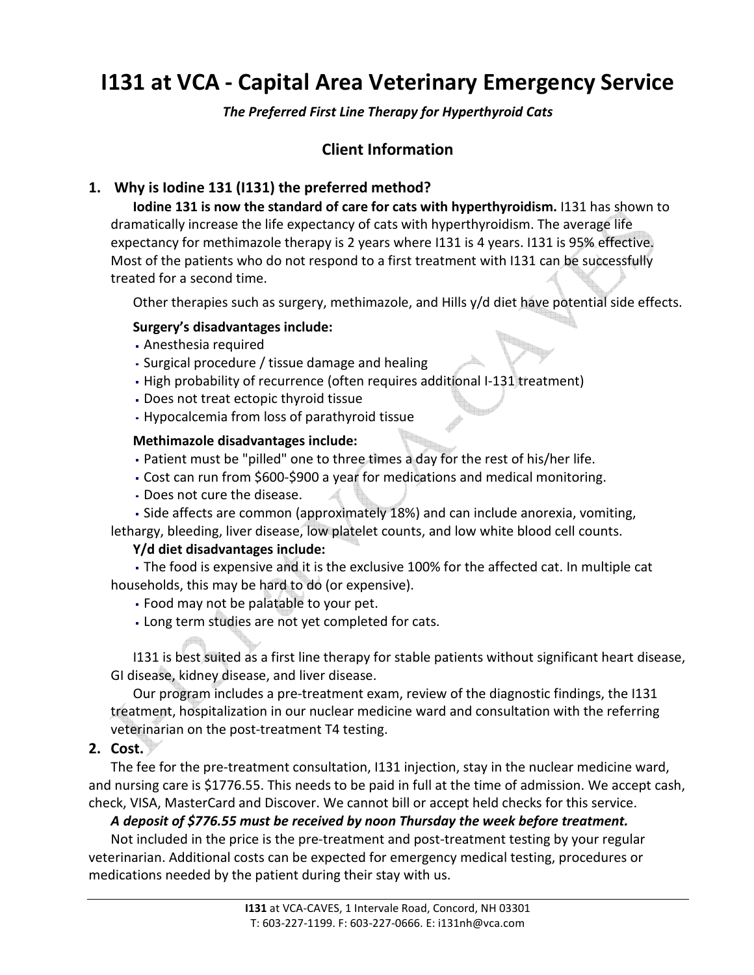# I131 at VCA - Capital Area Veterinary Emergency Service

The Preferred First Line Therapy for Hyperthyroid Cats

# Client Information

# 1. Why is Iodine 131 (I131) the preferred method?

Iodine 131 is now the standard of care for cats with hyperthyroidism. I131 has shown to dramatically increase the life expectancy of cats with hyperthyroidism. The average life expectancy for methimazole therapy is 2 years where I131 is 4 years. I131 is 95% effective. Most of the patients who do not respond to a first treatment with I131 can be successfully treated for a second time.

Other therapies such as surgery, methimazole, and Hills y/d diet have potential side effects.

#### Surgery's disadvantages include:

- Anesthesia required
- Surgical procedure / tissue damage and healing
- High probability of recurrence (often requires additional I-131 treatment)
- Does not treat ectopic thyroid tissue
- Hypocalcemia from loss of parathyroid tissue

#### Methimazole disadvantages include:

- Patient must be "pilled" one to three times a day for the rest of his/her life.
- Cost can run from \$600-\$900 a year for medications and medical monitoring.
- Does not cure the disease.

 Side affects are common (approximately 18%) and can include anorexia, vomiting, lethargy, bleeding, liver disease, low platelet counts, and low white blood cell counts.

#### Y/d diet disadvantages include:

 The food is expensive and it is the exclusive 100% for the affected cat. In multiple cat households, this may be hard to do (or expensive).

- Food may not be palatable to your pet.
- Long term studies are not yet completed for cats.

I131 is best suited as a first line therapy for stable patients without significant heart disease, GI disease, kidney disease, and liver disease.

Our program includes a pre-treatment exam, review of the diagnostic findings, the I131 treatment, hospitalization in our nuclear medicine ward and consultation with the referring veterinarian on the post-treatment T4 testing.

2. Cost.

The fee for the pre-treatment consultation, I131 injection, stay in the nuclear medicine ward, and nursing care is \$1776.55. This needs to be paid in full at the time of admission. We accept cash, check, VISA, MasterCard and Discover. We cannot bill or accept held checks for this service.

#### A deposit of \$776.55 must be received by noon Thursday the week before treatment.

Not included in the price is the pre-treatment and post-treatment testing by your regular veterinarian. Additional costs can be expected for emergency medical testing, procedures or medications needed by the patient during their stay with us.